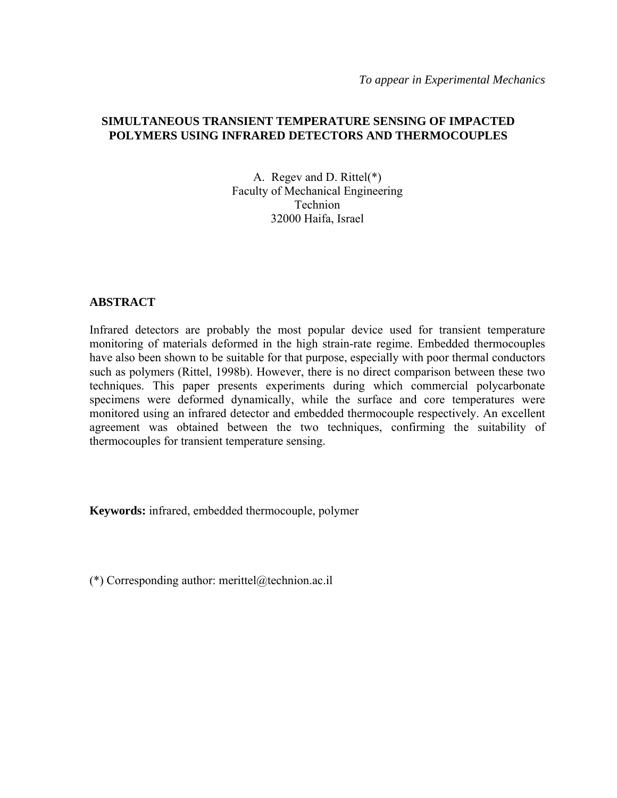*To appear in Experimental Mechanics* 

## **SIMULTANEOUS TRANSIENT TEMPERATURE SENSING OF IMPACTED POLYMERS USING INFRARED DETECTORS AND THERMOCOUPLES**

A. Regev and D. Rittel(\*) Faculty of Mechanical Engineering Technion 32000 Haifa, Israel

### **ABSTRACT**

Infrared detectors are probably the most popular device used for transient temperature monitoring of materials deformed in the high strain-rate regime. Embedded thermocouples have also been shown to be suitable for that purpose, especially with poor thermal conductors such as polymers (Rittel, 1998b). However, there is no direct comparison between these two techniques. This paper presents experiments during which commercial polycarbonate specimens were deformed dynamically, while the surface and core temperatures were monitored using an infrared detector and embedded thermocouple respectively. An excellent agreement was obtained between the two techniques, confirming the suitability of thermocouples for transient temperature sensing.

**Keywords:** infrared, embedded thermocouple, polymer

(\*) Corresponding author: merittel@technion.ac.il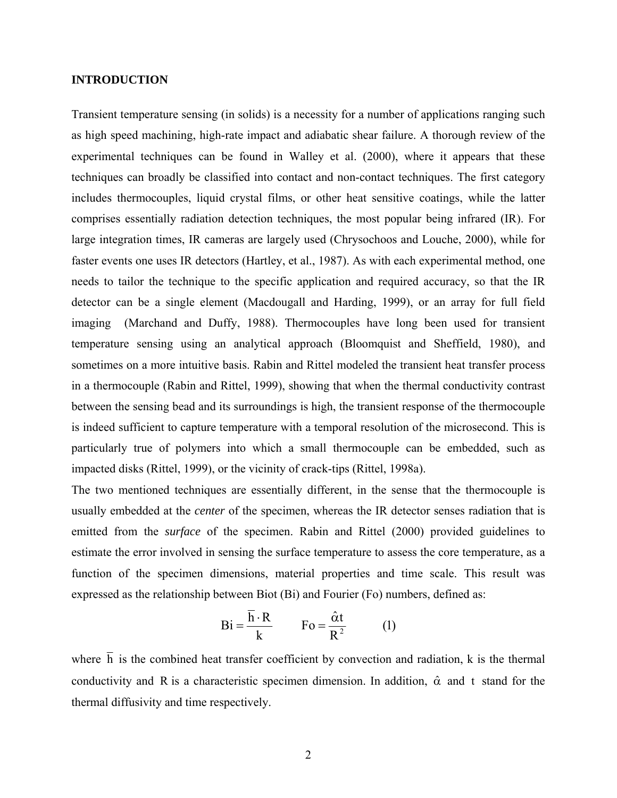#### **INTRODUCTION**

Transient temperature sensing (in solids) is a necessity for a number of applications ranging such as high speed machining, high-rate impact and adiabatic shear failure. A thorough review of the experimental techniques can be found in Walley et al. (2000), where it appears that these techniques can broadly be classified into contact and non-contact techniques. The first category includes thermocouples, liquid crystal films, or other heat sensitive coatings, while the latter comprises essentially radiation detection techniques, the most popular being infrared (IR). For large integration times, IR cameras are largely used (Chrysochoos and Louche, 2000), while for faster events one uses IR detectors (Hartley, et al., 1987). As with each experimental method, one needs to tailor the technique to the specific application and required accuracy, so that the IR detector can be a single element (Macdougall and Harding, 1999), or an array for full field imaging (Marchand and Duffy, 1988). Thermocouples have long been used for transient temperature sensing using an analytical approach (Bloomquist and Sheffield, 1980), and sometimes on a more intuitive basis. Rabin and Rittel modeled the transient heat transfer process in a thermocouple (Rabin and Rittel, 1999), showing that when the thermal conductivity contrast between the sensing bead and its surroundings is high, the transient response of the thermocouple is indeed sufficient to capture temperature with a temporal resolution of the microsecond. This is particularly true of polymers into which a small thermocouple can be embedded, such as impacted disks (Rittel, 1999), or the vicinity of crack-tips (Rittel, 1998a).

The two mentioned techniques are essentially different, in the sense that the thermocouple is usually embedded at the *center* of the specimen, whereas the IR detector senses radiation that is emitted from the *surface* of the specimen. Rabin and Rittel (2000) provided guidelines to estimate the error involved in sensing the surface temperature to assess the core temperature, as a function of the specimen dimensions, material properties and time scale. This result was expressed as the relationship between Biot (Bi) and Fourier (Fo) numbers, defined as:

$$
Bi = \frac{\overline{h} \cdot R}{k} \qquad Fo = \frac{\hat{\alpha}t}{R^2} \qquad (1)
$$

where  $\overline{h}$  is the combined heat transfer coefficient by convection and radiation,  $k$  is the thermal conductivity and R is a characteristic specimen dimension. In addition,  $\hat{\alpha}$  and t stand for the thermal diffusivity and time respectively.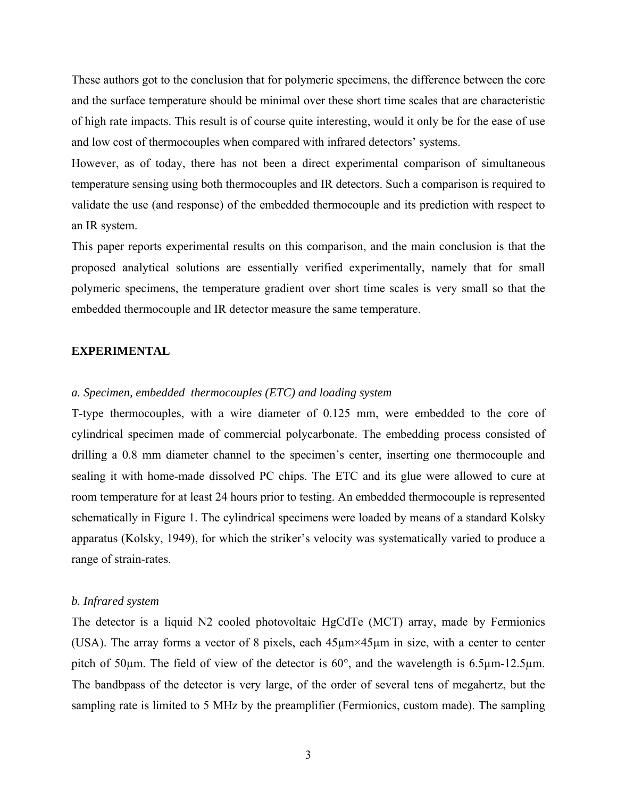These authors got to the conclusion that for polymeric specimens, the difference between the core and the surface temperature should be minimal over these short time scales that are characteristic of high rate impacts. This result is of course quite interesting, would it only be for the ease of use and low cost of thermocouples when compared with infrared detectors' systems.

However, as of today, there has not been a direct experimental comparison of simultaneous temperature sensing using both thermocouples and IR detectors. Such a comparison is required to validate the use (and response) of the embedded thermocouple and its prediction with respect to an IR system.

This paper reports experimental results on this comparison, and the main conclusion is that the proposed analytical solutions are essentially verified experimentally, namely that for small polymeric specimens, the temperature gradient over short time scales is very small so that the embedded thermocouple and IR detector measure the same temperature.

#### **EXPERIMENTAL**

### *a. Specimen, embedded thermocouples (ETC) and loading system*

T-type thermocouples, with a wire diameter of 0.125 mm, were embedded to the core of cylindrical specimen made of commercial polycarbonate. The embedding process consisted of drilling a 0.8 mm diameter channel to the specimen's center, inserting one thermocouple and sealing it with home-made dissolved PC chips. The ETC and its glue were allowed to cure at room temperature for at least 24 hours prior to testing. An embedded thermocouple is represented schematically in Figure 1. The cylindrical specimens were loaded by means of a standard Kolsky apparatus (Kolsky, 1949), for which the striker's velocity was systematically varied to produce a range of strain-rates.

#### *b. Infrared system*

The detector is a liquid N2 cooled photovoltaic HgCdTe (MCT) array, made by Fermionics (USA). The array forms a vector of 8 pixels, each 45µm×45µm in size, with a center to center pitch of 50 $\mu$ m. The field of view of the detector is 60 $\degree$ , and the wavelength is 6.5 $\mu$ m-12.5 $\mu$ m. The bandbpass of the detector is very large, of the order of several tens of megahertz, but the sampling rate is limited to 5 MHz by the preamplifier (Fermionics, custom made). The sampling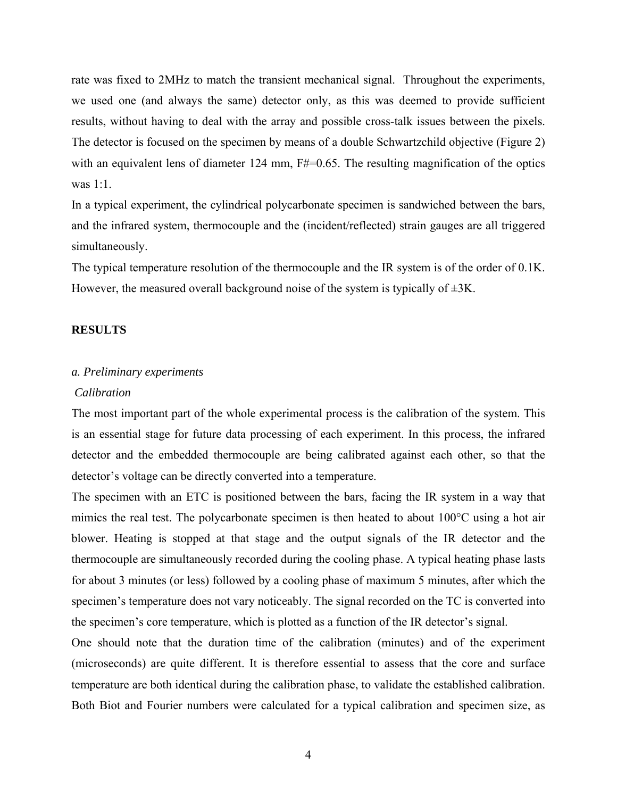rate was fixed to 2MHz to match the transient mechanical signal. Throughout the experiments, we used one (and always the same) detector only, as this was deemed to provide sufficient results, without having to deal with the array and possible cross-talk issues between the pixels. The detector is focused on the specimen by means of a double Schwartzchild objective (Figure 2) with an equivalent lens of diameter 124 mm,  $F#=0.65$ . The resulting magnification of the optics was 1:1.

In a typical experiment, the cylindrical polycarbonate specimen is sandwiched between the bars, and the infrared system, thermocouple and the (incident/reflected) strain gauges are all triggered simultaneously.

The typical temperature resolution of the thermocouple and the IR system is of the order of 0.1K. However, the measured overall background noise of the system is typically of  $\pm 3K$ .

#### **RESULTS**

#### *a. Preliminary experiments*

#### *Calibration*

The most important part of the whole experimental process is the calibration of the system. This is an essential stage for future data processing of each experiment. In this process, the infrared detector and the embedded thermocouple are being calibrated against each other, so that the detector's voltage can be directly converted into a temperature.

The specimen with an ETC is positioned between the bars, facing the IR system in a way that mimics the real test. The polycarbonate specimen is then heated to about 100°C using a hot air blower. Heating is stopped at that stage and the output signals of the IR detector and the thermocouple are simultaneously recorded during the cooling phase. A typical heating phase lasts for about 3 minutes (or less) followed by a cooling phase of maximum 5 minutes, after which the specimen's temperature does not vary noticeably. The signal recorded on the TC is converted into the specimen's core temperature, which is plotted as a function of the IR detector's signal.

One should note that the duration time of the calibration (minutes) and of the experiment (microseconds) are quite different. It is therefore essential to assess that the core and surface temperature are both identical during the calibration phase, to validate the established calibration. Both Biot and Fourier numbers were calculated for a typical calibration and specimen size, as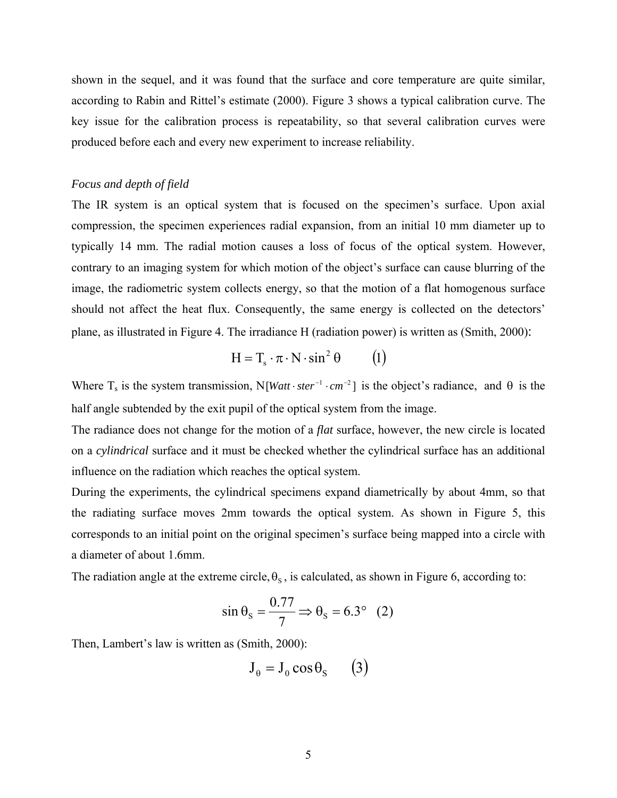shown in the sequel, and it was found that the surface and core temperature are quite similar, according to Rabin and Rittel's estimate (2000). Figure 3 shows a typical calibration curve. The key issue for the calibration process is repeatability, so that several calibration curves were produced before each and every new experiment to increase reliability.

## *Focus and depth of field*

The IR system is an optical system that is focused on the specimen's surface. Upon axial compression, the specimen experiences radial expansion, from an initial 10 mm diameter up to typically 14 mm. The radial motion causes a loss of focus of the optical system. However, contrary to an imaging system for which motion of the object's surface can cause blurring of the image, the radiometric system collects energy, so that the motion of a flat homogenous surface should not affect the heat flux. Consequently, the same energy is collected on the detectors' plane, as illustrated in Figure 4. The irradiance H (radiation power) is written as (Smith, 2000):

$$
H = T_s \cdot \pi \cdot N \cdot \sin^2 \theta \qquad (1)
$$

Where  $T_s$  is the system transmission, N[*Watt*  $\cdot$  *ster*<sup>-1</sup>  $\cdot$ *cm*<sup>-2</sup>] is the object's radiance, and  $\theta$  is the half angle subtended by the exit pupil of the optical system from the image.

The radiance does not change for the motion of a *flat* surface, however, the new circle is located on a *cylindrical* surface and it must be checked whether the cylindrical surface has an additional influence on the radiation which reaches the optical system.

During the experiments, the cylindrical specimens expand diametrically by about 4mm, so that the radiating surface moves 2mm towards the optical system. As shown in Figure 5, this corresponds to an initial point on the original specimen's surface being mapped into a circle with a diameter of about 1.6mm.

The radiation angle at the extreme circle,  $\theta_s$ , is calculated, as shown in Figure 6, according to:

$$
\sin \theta_{\rm s} = \frac{0.77}{7} \Rightarrow \theta_{\rm s} = 6.3^{\circ} \quad (2)
$$

Then, Lambert's law is written as (Smith, 2000):

$$
J_{\theta} = J_0 \cos \theta_S \qquad (3)
$$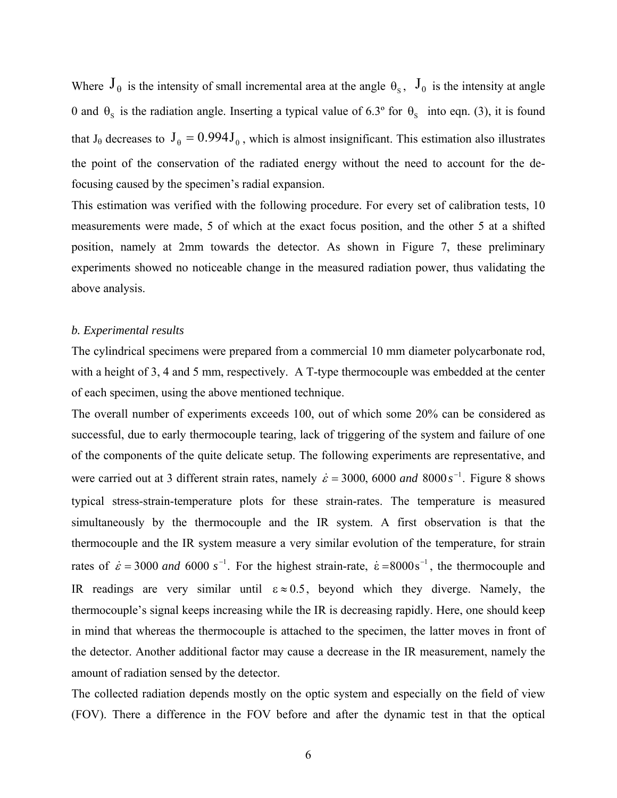Where  $J_{\theta}$  is the intensity of small incremental area at the angle  $\theta_{s}$ ,  $J_{0}$  is the intensity at angle 0 and  $\theta_s$  is the radiation angle. Inserting a typical value of 6.3° for  $\theta_s$  into eqn. (3), it is found that J<sub>θ</sub> decreases to  $J_\theta = 0.994 J_\theta$ , which is almost insignificant. This estimation also illustrates the point of the conservation of the radiated energy without the need to account for the defocusing caused by the specimen's radial expansion.

This estimation was verified with the following procedure. For every set of calibration tests, 10 measurements were made, 5 of which at the exact focus position, and the other 5 at a shifted position, namely at 2mm towards the detector. As shown in Figure 7, these preliminary experiments showed no noticeable change in the measured radiation power, thus validating the above analysis.

#### *b. Experimental results*

The cylindrical specimens were prepared from a commercial 10 mm diameter polycarbonate rod, with a height of 3, 4 and 5 mm, respectively. A T-type thermocouple was embedded at the center of each specimen, using the above mentioned technique.

The overall number of experiments exceeds 100, out of which some 20% can be considered as successful, due to early thermocouple tearing, lack of triggering of the system and failure of one of the components of the quite delicate setup. The following experiments are representative, and were carried out at 3 different strain rates, namely  $\dot{\varepsilon} = 3000$ , 6000 and 8000 s<sup>-1</sup>. Figure 8 shows typical stress-strain-temperature plots for these strain-rates. The temperature is measured simultaneously by the thermocouple and the IR system. A first observation is that the thermocouple and the IR system measure a very similar evolution of the temperature, for strain rates of  $\dot{\varepsilon} = 3000$  *and* 6000 s<sup>-1</sup>. For the highest strain-rate,  $\dot{\varepsilon} = 8000$ s<sup>-1</sup>, the thermocouple and IR readings are very similar until  $\epsilon \approx 0.5$ , beyond which they diverge. Namely, the thermocouple's signal keeps increasing while the IR is decreasing rapidly. Here, one should keep in mind that whereas the thermocouple is attached to the specimen, the latter moves in front of the detector. Another additional factor may cause a decrease in the IR measurement, namely the amount of radiation sensed by the detector.

The collected radiation depends mostly on the optic system and especially on the field of view (FOV). There a difference in the FOV before and after the dynamic test in that the optical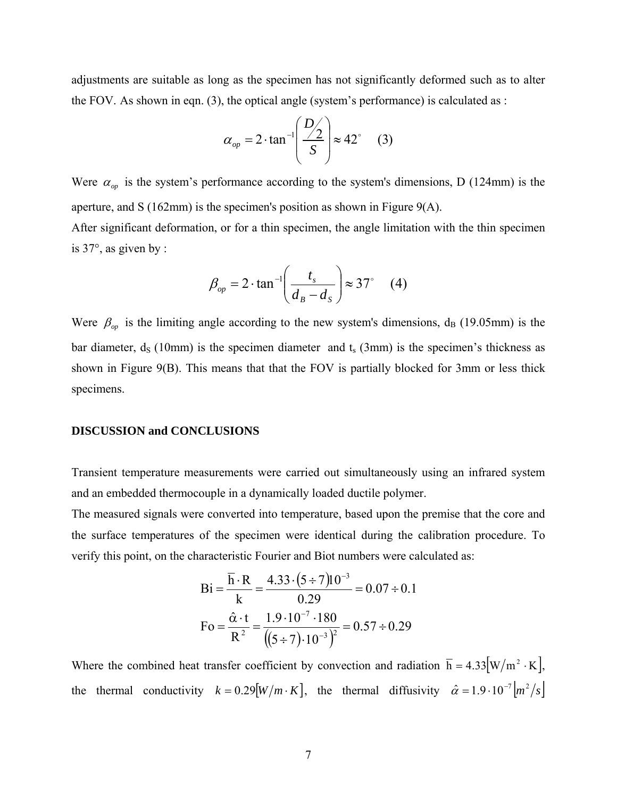adjustments are suitable as long as the specimen has not significantly deformed such as to alter the FOV. As shown in eqn. (3), the optical angle (system's performance) is calculated as :

$$
\alpha_{op} = 2 \cdot \tan^{-1} \left( \frac{D/2}{S} \right) \approx 42^{\circ} \quad (3)
$$

Were  $\alpha_{op}$  is the system's performance according to the system's dimensions, D (124mm) is the aperture, and S (162mm) is the specimen's position as shown in Figure 9(A). After significant deformation, or for a thin specimen, the angle limitation with the thin specimen is 37°, as given by :

$$
\beta_{op} = 2 \cdot \tan^{-1} \left( \frac{t_s}{d_B - d_S} \right) \approx 37^{\circ} \quad (4)
$$

Were  $\beta_{op}$  is the limiting angle according to the new system's dimensions,  $d_B$  (19.05mm) is the bar diameter,  $d_s$  (10mm) is the specimen diameter and  $t_s$  (3mm) is the specimen's thickness as shown in Figure 9(B). This means that that the FOV is partially blocked for 3mm or less thick specimens.

#### **DISCUSSION and CONCLUSIONS**

Transient temperature measurements were carried out simultaneously using an infrared system and an embedded thermocouple in a dynamically loaded ductile polymer.

The measured signals were converted into temperature, based upon the premise that the core and the surface temperatures of the specimen were identical during the calibration procedure. To verify this point, on the characteristic Fourier and Biot numbers were calculated as:

$$
Bi = \frac{\overline{h} \cdot R}{k} = \frac{4.33 \cdot (5 \div 7) 10^{-3}}{0.29} = 0.07 \div 0.1
$$
  

$$
Fo = \frac{\hat{\alpha} \cdot t}{R^2} = \frac{1.9 \cdot 10^{-7} \cdot 180}{\left( (5 \div 7) \cdot 10^{-3} \right)^2} = 0.57 \div 0.29
$$

Where the combined heat transfer coefficient by convection and radiation  $\bar{h} = 4.33[W/m^2 \cdot K]$ , the thermal conductivity  $k = 0.29[W/m \cdot K]$ , the thermal diffusivity  $\hat{\alpha} = 1.9 \cdot 10^{-7} [m^2/s]$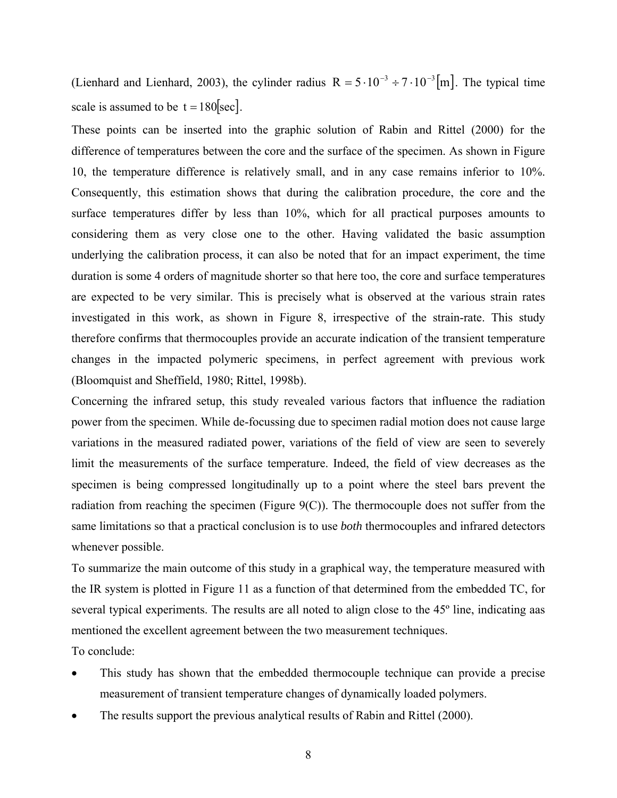(Lienhard and Lienhard, 2003), the cylinder radius  $R = 5 \cdot 10^{-3} \div 7 \cdot 10^{-3}$  [m]. The typical time scale is assumed to be  $t = 180$ [sec].

These points can be inserted into the graphic solution of Rabin and Rittel (2000) for the difference of temperatures between the core and the surface of the specimen. As shown in Figure 10, the temperature difference is relatively small, and in any case remains inferior to 10%. Consequently, this estimation shows that during the calibration procedure, the core and the surface temperatures differ by less than 10%, which for all practical purposes amounts to considering them as very close one to the other. Having validated the basic assumption underlying the calibration process, it can also be noted that for an impact experiment, the time duration is some 4 orders of magnitude shorter so that here too, the core and surface temperatures are expected to be very similar. This is precisely what is observed at the various strain rates investigated in this work, as shown in Figure 8, irrespective of the strain-rate. This study therefore confirms that thermocouples provide an accurate indication of the transient temperature changes in the impacted polymeric specimens, in perfect agreement with previous work (Bloomquist and Sheffield, 1980; Rittel, 1998b).

Concerning the infrared setup, this study revealed various factors that influence the radiation power from the specimen. While de-focussing due to specimen radial motion does not cause large variations in the measured radiated power, variations of the field of view are seen to severely limit the measurements of the surface temperature. Indeed, the field of view decreases as the specimen is being compressed longitudinally up to a point where the steel bars prevent the radiation from reaching the specimen (Figure  $9(C)$ ). The thermocouple does not suffer from the same limitations so that a practical conclusion is to use *both* thermocouples and infrared detectors whenever possible.

To summarize the main outcome of this study in a graphical way, the temperature measured with the IR system is plotted in Figure 11 as a function of that determined from the embedded TC, for several typical experiments. The results are all noted to align close to the 45<sup>°</sup> line, indicating aas mentioned the excellent agreement between the two measurement techniques. To conclude:

- This study has shown that the embedded thermocouple technique can provide a precise measurement of transient temperature changes of dynamically loaded polymers.
- The results support the previous analytical results of Rabin and Rittel (2000).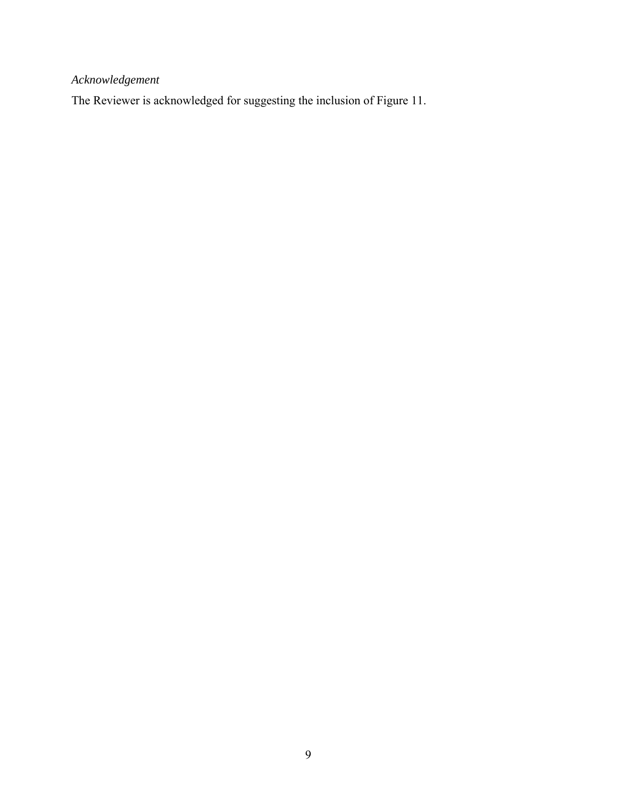*Acknowledgement* 

The Reviewer is acknowledged for suggesting the inclusion of Figure 11.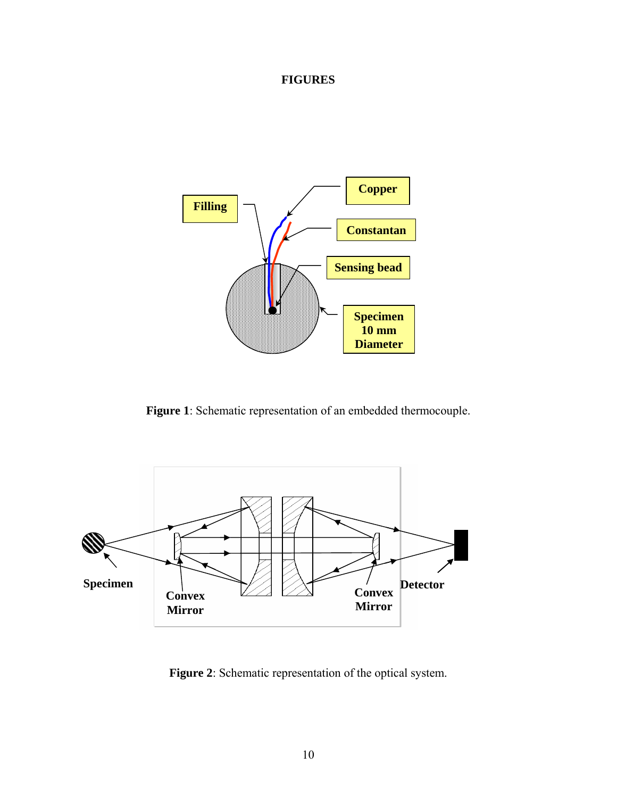# **FIGURES**



**Figure 1**: Schematic representation of an embedded thermocouple.



**Figure 2**: Schematic representation of the optical system.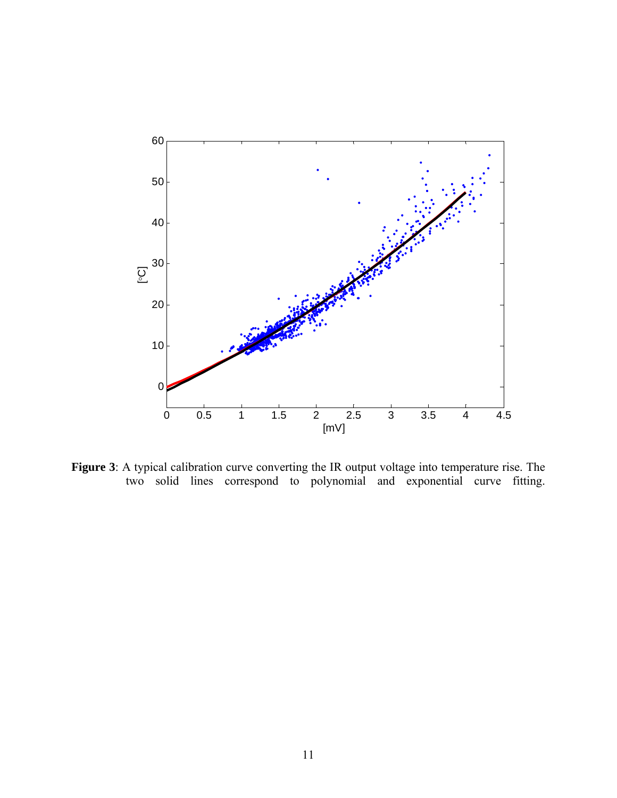

**Figure 3**: A typical calibration curve converting the IR output voltage into temperature rise. The two solid lines correspond to polynomial and exponential curve fitting.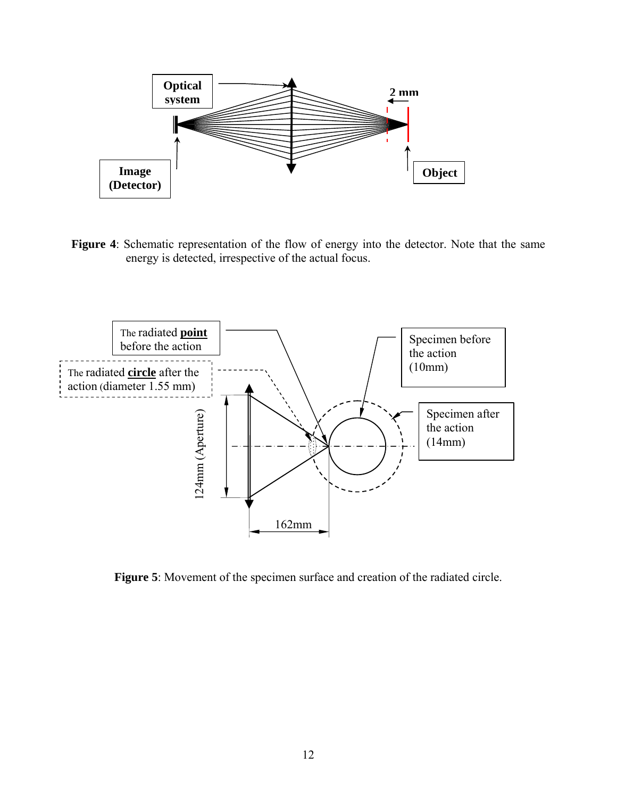

**Figure 4**: Schematic representation of the flow of energy into the detector. Note that the same energy is detected, irrespective of the actual focus.

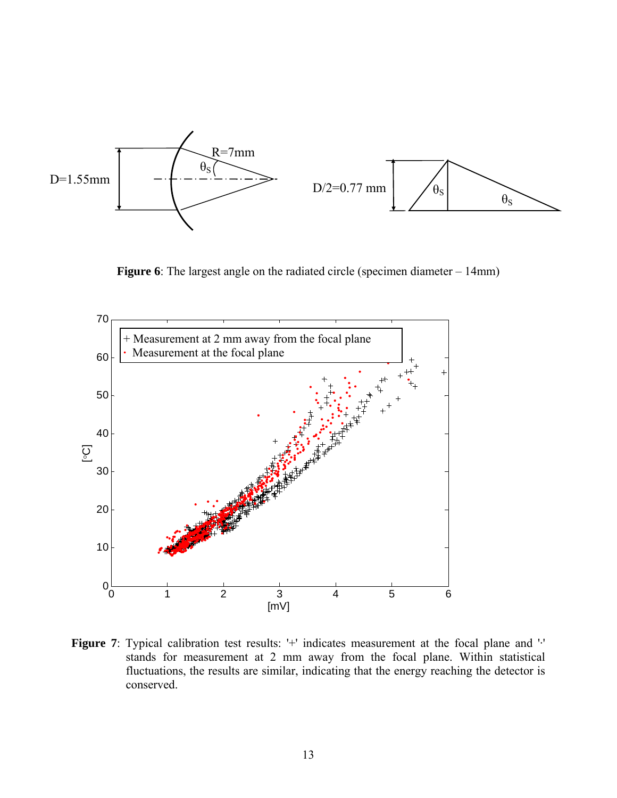

**Figure 6**: The largest angle on the radiated circle (specimen diameter – 14mm)



Figure 7: Typical calibration test results: '+' indicates measurement at the focal plane and '·' stands for measurement at 2 mm away from the focal plane. Within statistical fluctuations, the results are similar, indicating that the energy reaching the detector is conserved.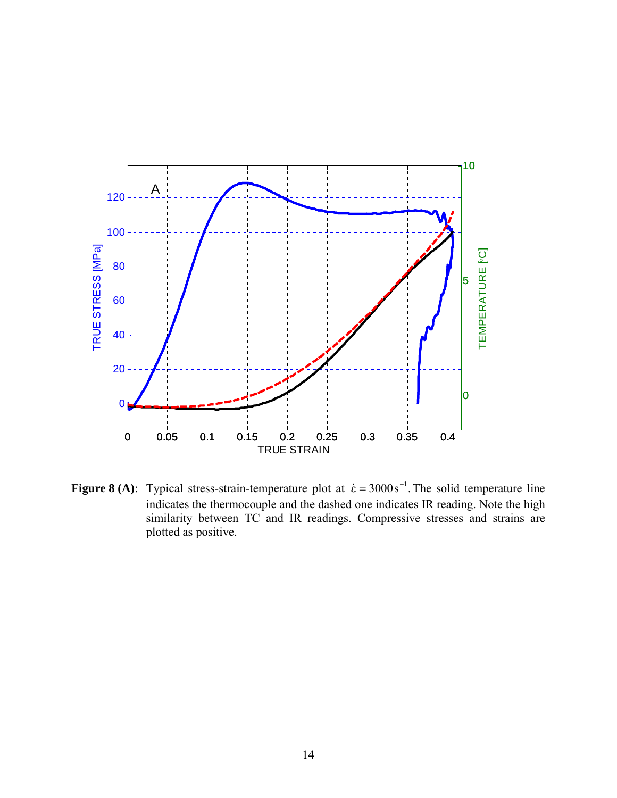

**Figure 8 (A):** Typical stress-strain-temperature plot at  $\dot{\epsilon} = 3000 \,\text{s}^{-1}$ . The solid temperature line indicates the thermocouple and the dashed one indicates IR reading. Note the high similarity between TC and IR readings. Compressive stresses and strains are plotted as positive.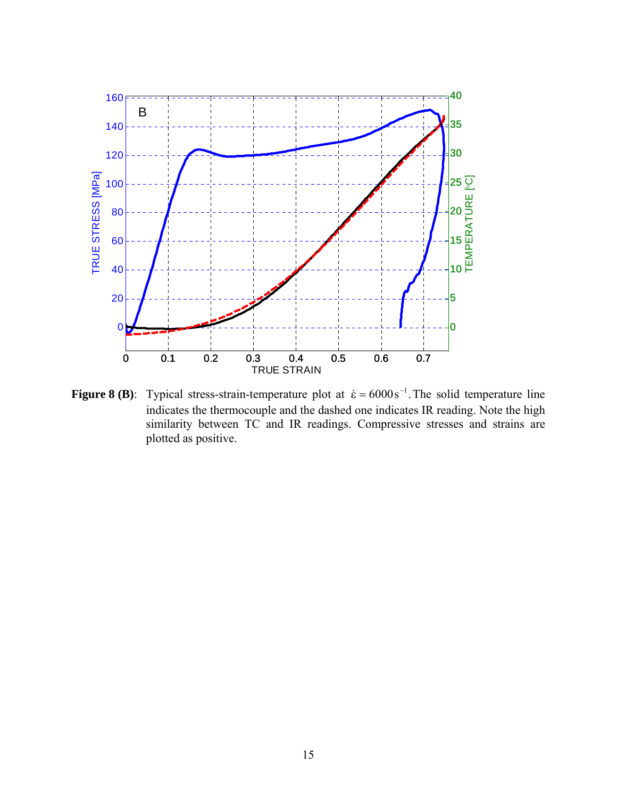

**Figure 8 (B)**: Typical stress-strain-temperature plot at  $\dot{\epsilon} = 6000 \text{ s}^{-1}$ . The solid temperature line indicates the thermocouple and the dashed one indicates IR reading. Note the high similarity between TC and IR readings. Compressive stresses and strains are plotted as positive.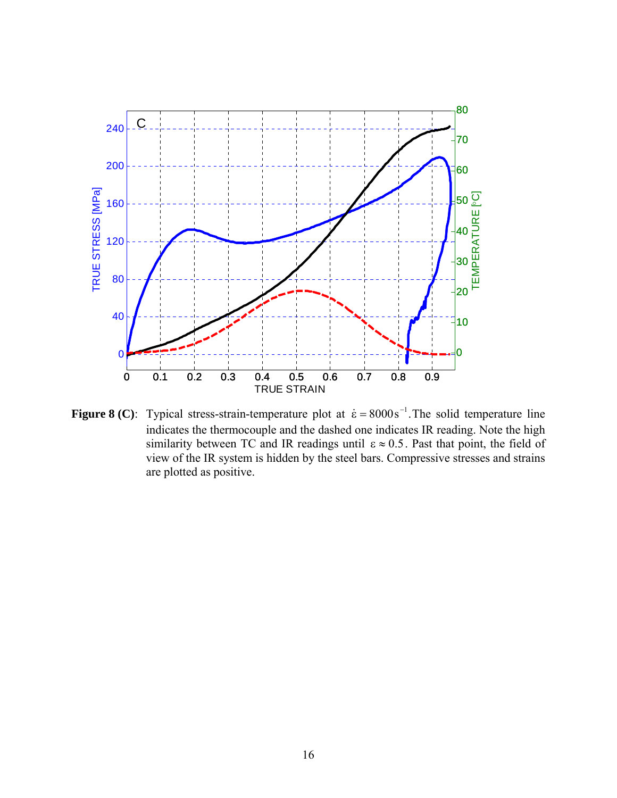

**Figure 8 (C):** Typical stress-strain-temperature plot at  $\dot{\epsilon} = 8000 \text{ s}^{-1}$ . The solid temperature line indicates the thermocouple and the dashed one indicates IR reading. Note the high similarity between TC and IR readings until  $\epsilon \approx 0.5$ . Past that point, the field of view of the IR system is hidden by the steel bars. Compressive stresses and strains are plotted as positive.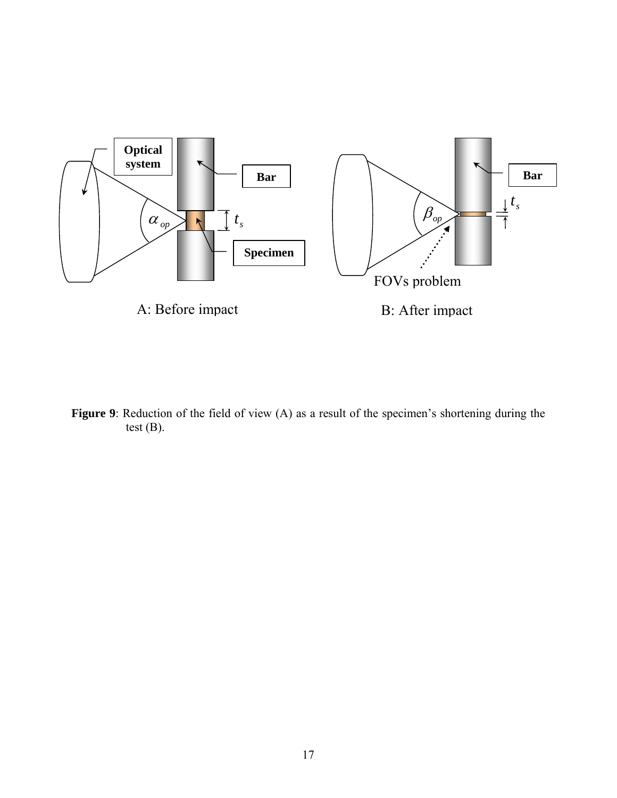

Figure 9: Reduction of the field of view (A) as a result of the specimen's shortening during the test (B).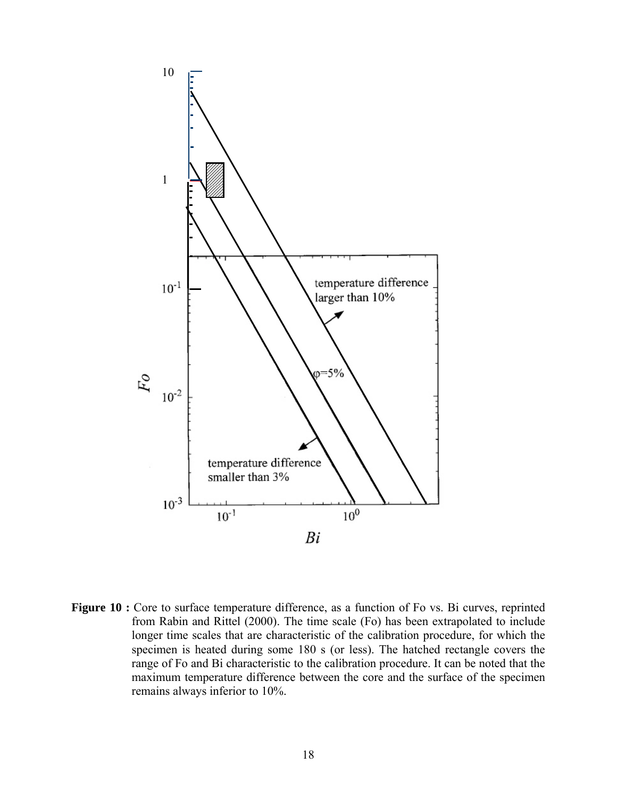

Figure 10 : Core to surface temperature difference, as a function of Fo vs. Bi curves, reprinted from Rabin and Rittel (2000). The time scale (Fo) has been extrapolated to include longer time scales that are characteristic of the calibration procedure, for which the specimen is heated during some 180 s (or less). The hatched rectangle covers the range of Fo and Bi characteristic to the calibration procedure. It can be noted that the maximum temperature difference between the core and the surface of the specimen remains always inferior to 10%.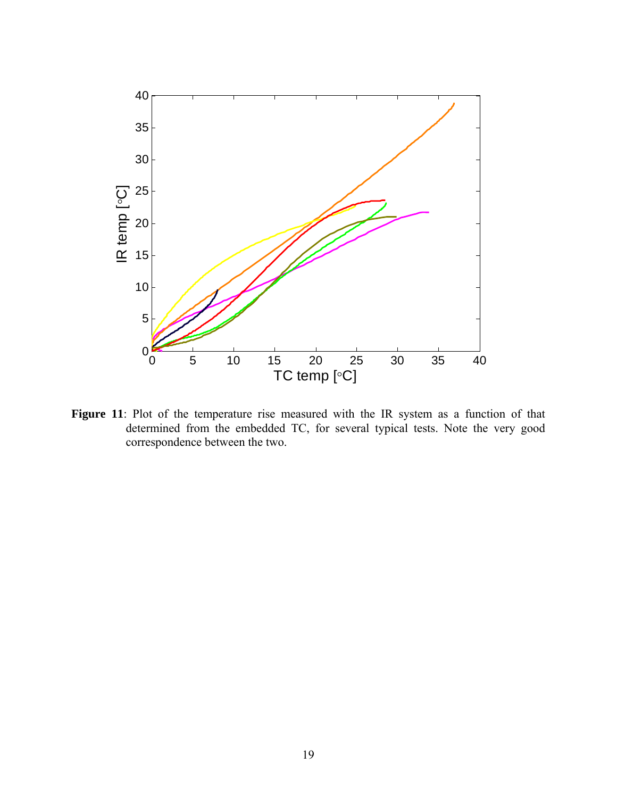

Figure 11: Plot of the temperature rise measured with the IR system as a function of that determined from the embedded TC, for several typical tests. Note the very good correspondence between the two.